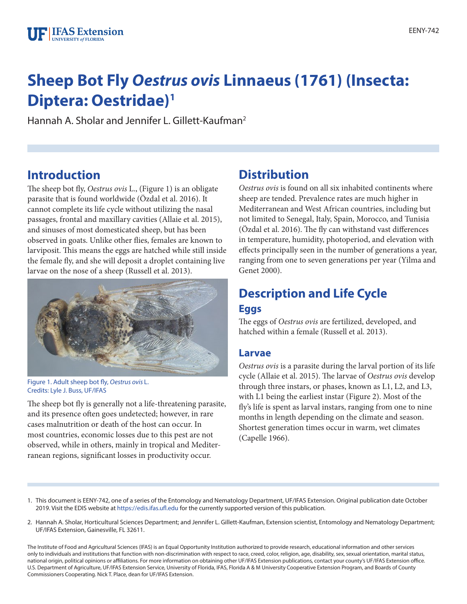# **Sheep Bot Fly** *Oestrus ovis* **Linnaeus (1761) (Insecta: Diptera: Oestridae)1**

Hannah A. Sholar and Jennifer L. Gillett-Kaufman2

## **Introduction**

The sheep bot fly, *Oestrus ovis* L., (Figure 1) is an obligate parasite that is found worldwide (Özdal et al. 2016). It cannot complete its life cycle without utilizing the nasal passages, frontal and maxillary cavities (Allaie et al. 2015), and sinuses of most domesticated sheep, but has been observed in goats. Unlike other flies, females are known to larviposit. This means the eggs are hatched while still inside the female fly, and she will deposit a droplet containing live larvae on the nose of a sheep (Russell et al. 2013).



Figure 1. Adult sheep bot fly, *Oestrus ovis* L. Credits: Lyle J. Buss, UF/IFAS

The sheep bot fly is generally not a life-threatening parasite, and its presence often goes undetected; however, in rare cases malnutrition or death of the host can occur. In most countries, economic losses due to this pest are not observed, while in others, mainly in tropical and Mediterranean regions, significant losses in productivity occur.

## **Distribution**

*Oestrus ovis* is found on all six inhabited continents where sheep are tended. Prevalence rates are much higher in Mediterranean and West African countries, including but not limited to Senegal, Italy, Spain, Morocco, and Tunisia (Özdal et al. 2016). The fly can withstand vast differences in temperature, humidity, photoperiod, and elevation with effects principally seen in the number of generations a year, ranging from one to seven generations per year (Yilma and Genet 2000).

## **Description and Life Cycle Eggs**

The eggs of *Oestrus ovis* are fertilized, developed, and hatched within a female (Russell et al. 2013).

#### **Larvae**

*Oestrus ovis* is a parasite during the larval portion of its life cycle (Allaie et al. 2015). The larvae of *Oestrus ovis* develop through three instars, or phases, known as L1, L2, and L3, with L1 being the earliest instar (Figure 2). Most of the fly's life is spent as larval instars, ranging from one to nine months in length depending on the climate and season. Shortest generation times occur in warm, wet climates (Capelle 1966).

- 1. This document is EENY-742, one of a series of the Entomology and Nematology Department, UF/IFAS Extension. Original publication date October 2019. Visit the EDIS website at <https://edis.ifas.ufl.edu>for the currently supported version of this publication.
- 2. Hannah A. Sholar, Horticultural Sciences Department; and Jennifer L. Gillett-Kaufman, Extension scientist, Entomology and Nematology Department; UF/IFAS Extension, Gainesville, FL 32611.

The Institute of Food and Agricultural Sciences (IFAS) is an Equal Opportunity Institution authorized to provide research, educational information and other services only to individuals and institutions that function with non-discrimination with respect to race, creed, color, religion, age, disability, sex, sexual orientation, marital status, national origin, political opinions or affiliations. For more information on obtaining other UF/IFAS Extension publications, contact your county's UF/IFAS Extension office. U.S. Department of Agriculture, UF/IFAS Extension Service, University of Florida, IFAS, Florida A & M University Cooperative Extension Program, and Boards of County Commissioners Cooperating. Nick T. Place, dean for UF/IFAS Extension.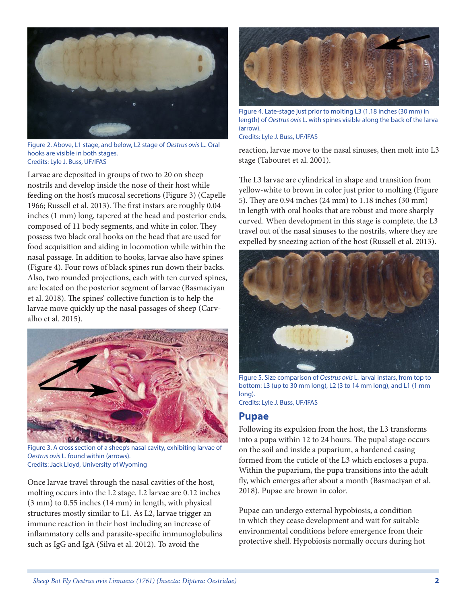

Figure 2. Above, L1 stage, and below, L2 stage of *Oestrus ovis* L.. Oral hooks are visible in both stages. Credits: Lyle J. Buss, UF/IFAS

Larvae are deposited in groups of two to 20 on sheep nostrils and develop inside the nose of their host while feeding on the host's mucosal secretions (Figure 3) (Capelle 1966; Russell et al. 2013). The first instars are roughly 0.04 inches (1 mm) long, tapered at the head and posterior ends, composed of 11 body segments, and white in color. They possess two black oral hooks on the head that are used for food acquisition and aiding in locomotion while within the nasal passage. In addition to hooks, larvae also have spines (Figure 4). Four rows of black spines run down their backs. Also, two rounded projections, each with ten curved spines, are located on the posterior segment of larvae (Basmaciyan et al. 2018). The spines' collective function is to help the larvae move quickly up the nasal passages of sheep (Carvalho et al. 2015).



Figure 3. A cross section of a sheep's nasal cavity, exhibiting larvae of *Oestrus ovis* L. found within (arrows). Credits: Jack Lloyd, University of Wyoming

Once larvae travel through the nasal cavities of the host, molting occurs into the L2 stage. L2 larvae are 0.12 inches (3 mm) to 0.55 inches (14 mm) in length, with physical structures mostly similar to L1. As L2, larvae trigger an immune reaction in their host including an increase of inflammatory cells and parasite-specific immunoglobulins such as IgG and IgA (Silva et al. 2012). To avoid the



Figure 4. Late-stage just prior to molting L3 (1.18 inches (30 mm) in length) of *Oestrus ovis* L. with spines visible along the back of the larva (arrow). Credits: Lyle J. Buss, UF/IFAS

reaction, larvae move to the nasal sinuses, then molt into L3 stage (Tabouret et al. 2001).

The L3 larvae are cylindrical in shape and transition from yellow-white to brown in color just prior to molting (Figure 5). They are 0.94 inches (24 mm) to 1.18 inches (30 mm) in length with oral hooks that are robust and more sharply curved. When development in this stage is complete, the L3 travel out of the nasal sinuses to the nostrils, where they are expelled by sneezing action of the host (Russell et al. 2013).



Figure 5. Size comparison of *Oestrus ovis* L. larval instars, from top to bottom: L3 (up to 30 mm long), L2 (3 to 14 mm long), and L1 (1 mm long).

Credits: Lyle J. Buss, UF/IFAS

#### **Pupae**

Following its expulsion from the host, the L3 transforms into a pupa within 12 to 24 hours. The pupal stage occurs on the soil and inside a puparium, a hardened casing formed from the cuticle of the L3 which encloses a pupa. Within the puparium, the pupa transitions into the adult fly, which emerges after about a month (Basmaciyan et al. 2018). Pupae are brown in color.

Pupae can undergo external hypobiosis, a condition in which they cease development and wait for suitable environmental conditions before emergence from their protective shell. Hypobiosis normally occurs during hot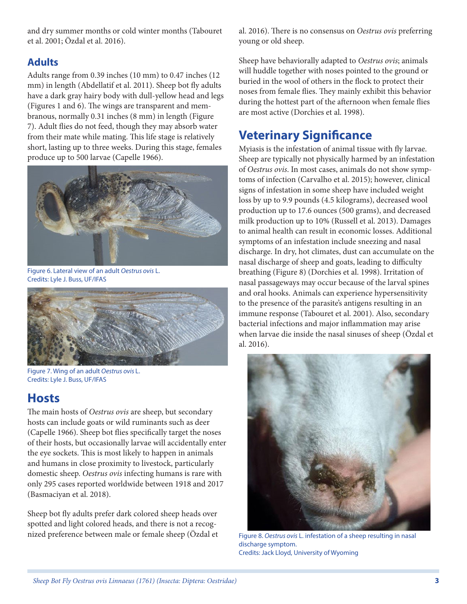and dry summer months or cold winter months (Tabouret et al. 2001; Özdal et al. 2016).

### **Adults**

Adults range from 0.39 inches (10 mm) to 0.47 inches (12 mm) in length (Abdellatif et al. 2011). Sheep bot fly adults have a dark gray hairy body with dull-yellow head and legs (Figures 1 and 6). The wings are transparent and membranous, normally 0.31 inches (8 mm) in length (Figure 7). Adult flies do not feed, though they may absorb water from their mate while mating. This life stage is relatively short, lasting up to three weeks. During this stage, females produce up to 500 larvae (Capelle 1966).



Figure 6. Lateral view of an adult *Oestrus ovis* L. Credits: Lyle J. Buss, UF/IFAS



Figure 7. Wing of an adult *Oestrus ovis* L. Credits: Lyle J. Buss, UF/IFAS

## **Hosts**

The main hosts of *Oestrus ovis* are sheep, but secondary hosts can include goats or wild ruminants such as deer (Capelle 1966). Sheep bot flies specifically target the noses of their hosts, but occasionally larvae will accidentally enter the eye sockets. This is most likely to happen in animals and humans in close proximity to livestock, particularly domestic sheep. *Oestrus ovis* infecting humans is rare with only 295 cases reported worldwide between 1918 and 2017 (Basmaciyan et al. 2018).

Sheep bot fly adults prefer dark colored sheep heads over spotted and light colored heads, and there is not a recognized preference between male or female sheep (Özdal et al. 2016). There is no consensus on *Oestrus ovis* preferring young or old sheep.

Sheep have behaviorally adapted to *Oestrus ovis*; animals will huddle together with noses pointed to the ground or buried in the wool of others in the flock to protect their noses from female flies. They mainly exhibit this behavior during the hottest part of the afternoon when female flies are most active (Dorchies et al. 1998).

# **Veterinary Significance**

Myiasis is the infestation of animal tissue with fly larvae. Sheep are typically not physically harmed by an infestation of *Oestrus ovis*. In most cases, animals do not show symptoms of infection (Carvalho et al. 2015); however, clinical signs of infestation in some sheep have included weight loss by up to 9.9 pounds (4.5 kilograms), decreased wool production up to 17.6 ounces (500 grams), and decreased milk production up to 10% (Russell et al. 2013). Damages to animal health can result in economic losses. Additional symptoms of an infestation include sneezing and nasal discharge. In dry, hot climates, dust can accumulate on the nasal discharge of sheep and goats, leading to difficulty breathing (Figure 8) (Dorchies et al. 1998). Irritation of nasal passageways may occur because of the larval spines and oral hooks. Animals can experience hypersensitivity to the presence of the parasite's antigens resulting in an immune response (Tabouret et al. 2001). Also, secondary bacterial infections and major inflammation may arise when larvae die inside the nasal sinuses of sheep (Özdal et al. 2016).



Figure 8. *Oestrus ovis* L. infestation of a sheep resulting in nasal discharge symptom. Credits: Jack Lloyd, University of Wyoming